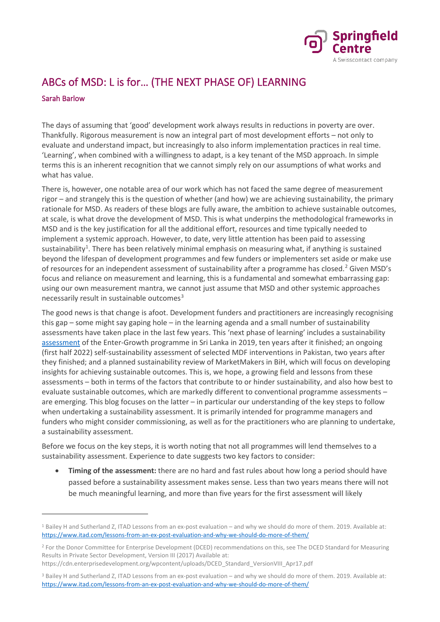

## ABCs of MSD: L is for… (THE NEXT PHASE OF) LEARNING

## Sarah Barlow

The days of assuming that 'good' development work always results in reductions in poverty are over. Thankfully. Rigorous measurement is now an integral part of most development efforts – not only to evaluate and understand impact, but increasingly to also inform implementation practices in real time. 'Learning', when combined with a willingness to adapt, is a key tenant of the MSD approach. In simple terms this is an inherent recognition that we cannot simply rely on our assumptions of what works and what has value.

There is, however, one notable area of our work which has not faced the same degree of measurement rigor – and strangely this is the question of whether (and how) we are achieving sustainability, the primary rationale for MSD. As readers of these blogs are fully aware, the ambition to achieve sustainable outcomes, at scale, is what drove the development of MSD. This is what underpins the methodological frameworks in MSD and is the key justification for all the additional effort, resources and time typically needed to implement a systemic approach. However, to date, very little attention has been paid to assessing sustainability<sup>[1](#page-0-0)</sup>. There has been relatively minimal emphasis on measuring what, if anything is sustained beyond the lifespan of development programmes and few funders or implementers set aside or make use of resources for an independent assessment of sustainability after a programme has closed.[2](#page-0-1) Given MSD's focus and reliance on measurement and learning, this is a fundamental and somewhat embarrassing gap: using our own measurement mantra, we cannot just assume that MSD and other systemic approaches necessarily result in sustainable outcomes $3$ 

The good news is that change is afoot. Development funders and practitioners are increasingly recognising this gap – some might say gaping hole – in the learning agenda and a small number of sustainability assessments have taken place in the last few years. This 'next phase of learning' includes a sustainability [assessment](https://www.springfieldcentre.com/the-enter-growth-programme-a-decade-on/) of the Enter-Growth programme in Sri Lanka in 2019, ten years after it finished; an ongoing (first half 2022) self-sustainability assessment of selected MDF interventions in Pakistan, two years after they finished; and a planned sustainability review of MarketMakers in BiH, which will focus on developing insights for achieving sustainable outcomes. This is, we hope, a growing field and lessons from these assessments – both in terms of the factors that contribute to or hinder sustainability, and also how best to evaluate sustainable outcomes, which are markedly different to conventional programme assessments – are emerging. This blog focuses on the latter – in particular our understanding of the key steps to follow when undertaking a sustainability assessment. It is primarily intended for programme managers and funders who might consider commissioning, as well as for the practitioners who are planning to undertake, a sustainability assessment.

Before we focus on the key steps, it is worth noting that not all programmes will lend themselves to a sustainability assessment. Experience to date suggests two key factors to consider:

• **Timing of the assessment:** there are no hard and fast rules about how long a period should have passed before a sustainability assessment makes sense. Less than two years means there will not be much meaningful learning, and more than five years for the first assessment will likely

<span id="page-0-0"></span><sup>1</sup> Bailey H and Sutherland Z, ITAD Lessons from an ex-post evaluation – and why we should do more of them. 2019. Available at: <https://www.itad.com/lessons-from-an-ex-post-evaluation-and-why-we-should-do-more-of-them/>

<span id="page-0-1"></span><sup>2</sup> For the Donor Committee for Enterprise Development (DCED) recommendations on this, see The DCED Standard for Measuring Results in Private Sector Development, Version III (2017) Available at:

[https://cdn.enterprisedevelopment.org/wpcontent/uploads/DCED\\_Standard\\_VersionVIII\\_Apr17.pdf](https://cdn.enterprisedevelopment.org/wpcontent/uploads/DCED_Standard_VersionVIII_Apr17.pdf)

<span id="page-0-2"></span><sup>3</sup> Bailey H and Sutherland Z, ITAD Lessons from an ex-post evaluation – and why we should do more of them. 2019. Available at: <https://www.itad.com/lessons-from-an-ex-post-evaluation-and-why-we-should-do-more-of-them/>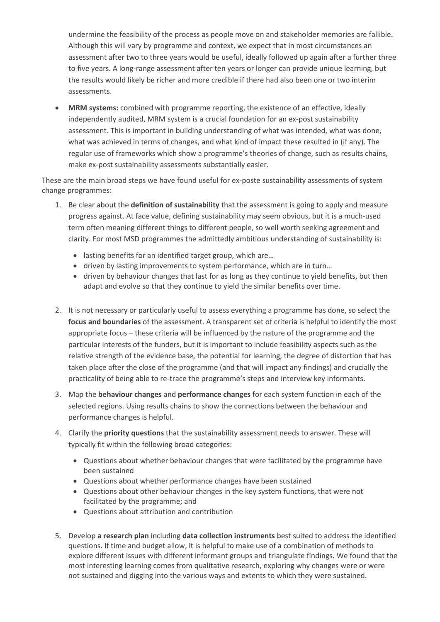undermine the feasibility of the process as people move on and stakeholder memories are fallible. Although this will vary by programme and context, we expect that in most circumstances an assessment after two to three years would be useful, ideally followed up again after a further three to five years. A long-range assessment after ten years or longer can provide unique learning, but the results would likely be richer and more credible if there had also been one or two interim assessments.

• **MRM systems:** combined with programme reporting, the existence of an effective, ideally independently audited, MRM system is a crucial foundation for an ex-post sustainability assessment. This is important in building understanding of what was intended, what was done, what was achieved in terms of changes, and what kind of impact these resulted in (if any). The regular use of frameworks which show a programme's theories of change, such as results chains, make ex-post sustainability assessments substantially easier.

These are the main broad steps we have found useful for ex-poste sustainability assessments of system change programmes:

- 1. Be clear about the **definition of sustainability** that the assessment is going to apply and measure progress against. At face value, defining sustainability may seem obvious, but it is a much-used term often meaning different things to different people, so well worth seeking agreement and clarity. For most MSD programmes the admittedly ambitious understanding of sustainability is:
	- lasting benefits for an identified target group, which are...
	- driven by lasting improvements to system performance, which are in turn…
	- driven by behaviour changes that last for as long as they continue to yield benefits, but then adapt and evolve so that they continue to yield the similar benefits over time.
- 2. It is not necessary or particularly useful to assess everything a programme has done, so select the **focus and boundaries** of the assessment. A transparent set of criteria is helpful to identify the most appropriate focus – these criteria will be influenced by the nature of the programme and the particular interests of the funders, but it is important to include feasibility aspects such as the relative strength of the evidence base, the potential for learning, the degree of distortion that has taken place after the close of the programme (and that will impact any findings) and crucially the practicality of being able to re-trace the programme's steps and interview key informants.
- 3. Map the **behaviour changes** and **performance changes** for each system function in each of the selected regions. Using results chains to show the connections between the behaviour and performance changes is helpful.
- 4. Clarify the **priority questions** that the sustainability assessment needs to answer. These will typically fit within the following broad categories:
	- Questions about whether behaviour changes that were facilitated by the programme have been sustained
	- Questions about whether performance changes have been sustained
	- Questions about other behaviour changes in the key system functions, that were not facilitated by the programme; and
	- Questions about attribution and contribution
- 5. Develop **a research plan** including **data collection instruments** best suited to address the identified questions. If time and budget allow, it is helpful to make use of a combination of methods to explore different issues with different informant groups and triangulate findings. We found that the most interesting learning comes from qualitative research, exploring why changes were or were not sustained and digging into the various ways and extents to which they were sustained.